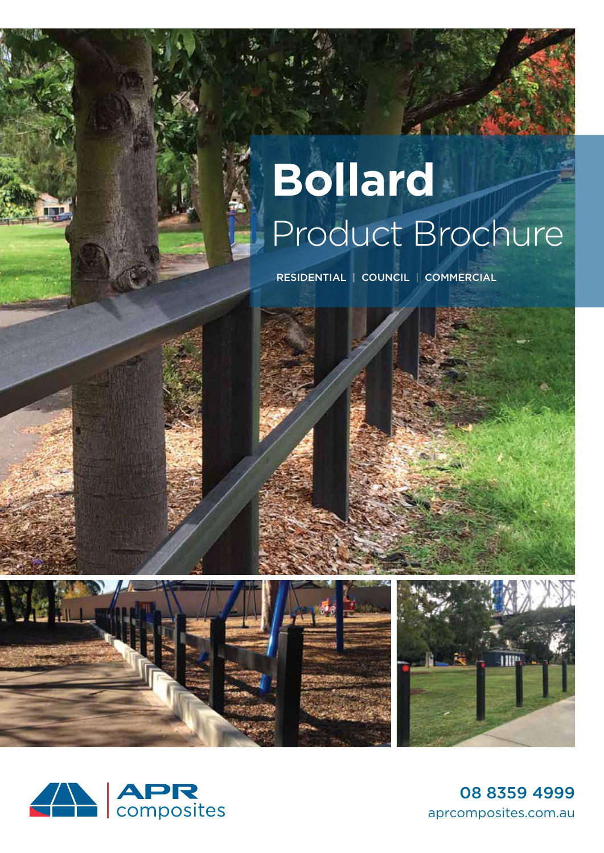## **Bollard** Product Brochure

RESIDENTIAL | COUNCIL | COMMERCIAL



08 8359 4999 aprcomposites.com.au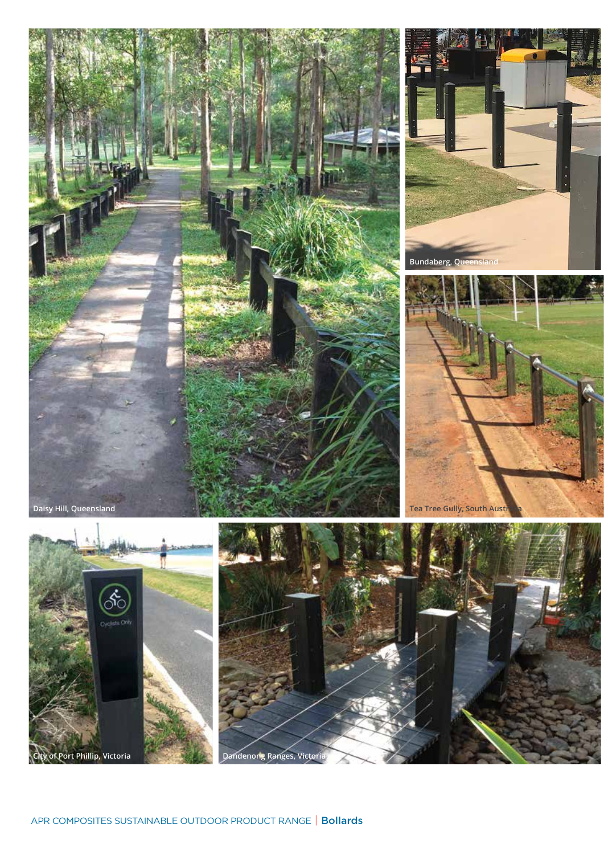

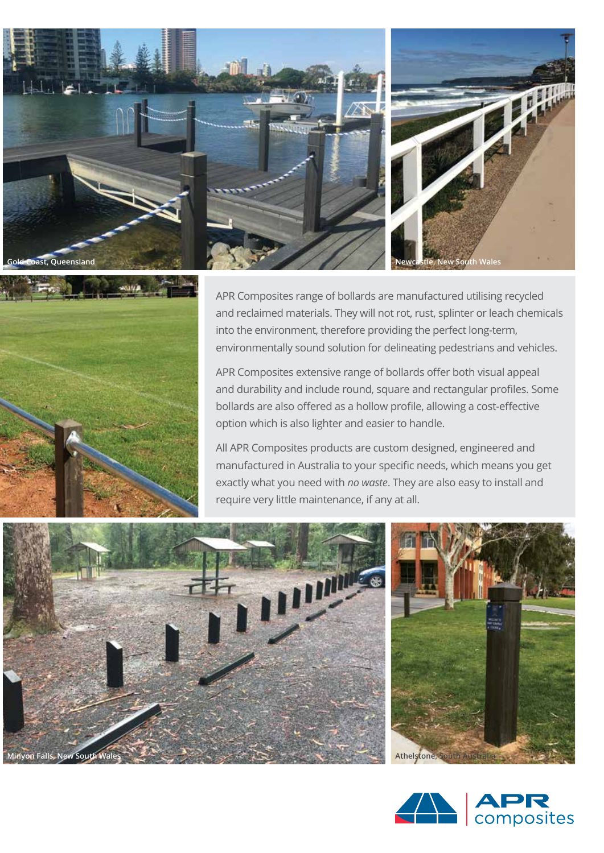



APR Composites range of bollards are manufactured utilising recycled and reclaimed materials. They will not rot, rust, splinter or leach chemicals into the environment, therefore providing the perfect long-term, environmentally sound solution for delineating pedestrians and vehicles.

APR Composites extensive range of bollards offer both visual appeal and durability and include round, square and rectangular profiles. Some bollards are also offered as a hollow profile, allowing a cost-effective option which is also lighter and easier to handle.

All APR Composites products are custom designed, engineered and manufactured in Australia to your specific needs, which means you get exactly what you need with *no waste*. They are also easy to install and require very little maintenance, if any at all.